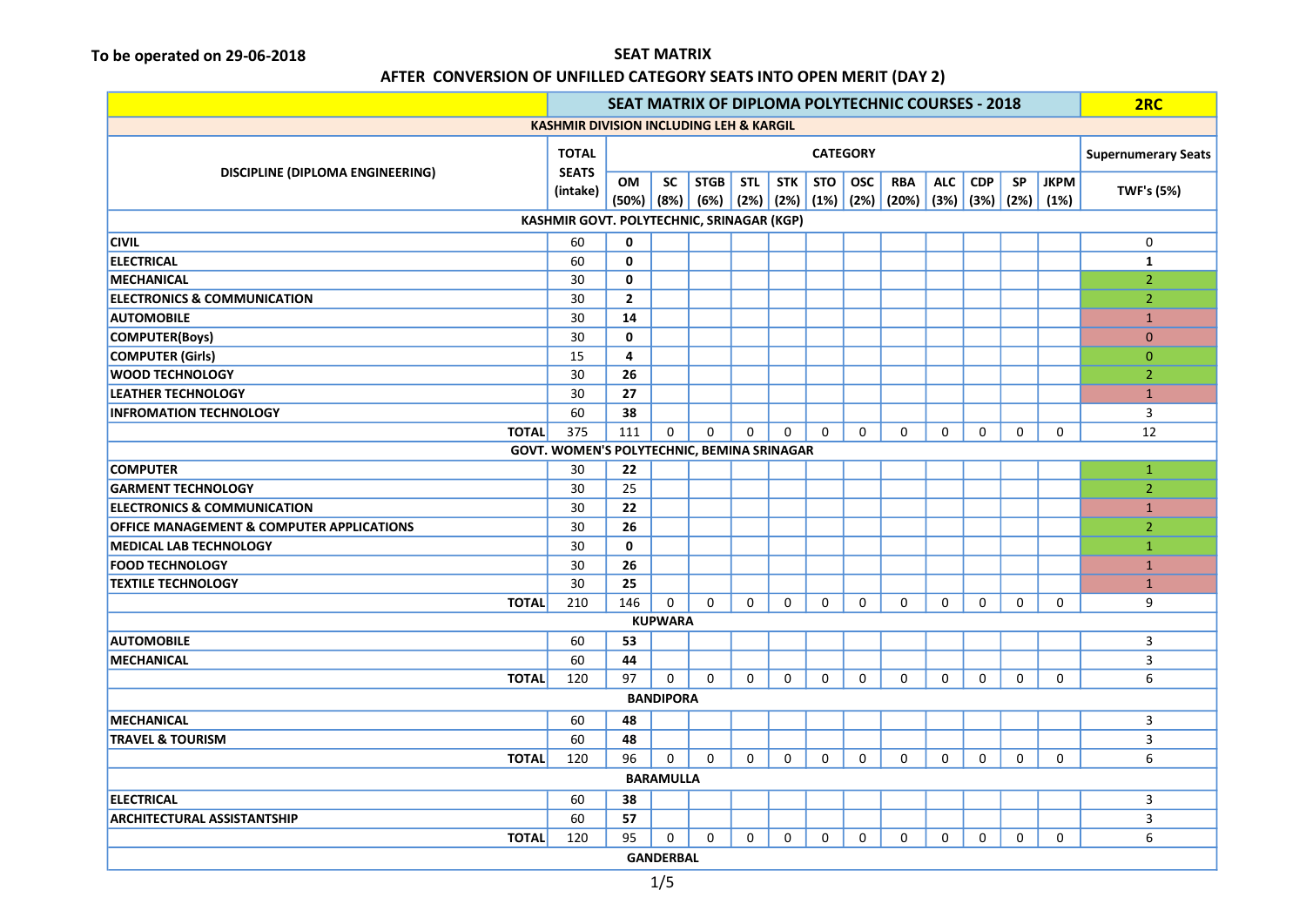### AFTER CONVERSION OF UNFILLED CATEGORY SEATS INTO OPEN MERIT (DAY 2)

| SEAT MATRIX OF DIPLOMA POLYTECHNIC COURSES - 2018    |                                           |                |                  |             |            |             |            | 2RC             |                                                                   |              |              |           |             |                            |
|------------------------------------------------------|-------------------------------------------|----------------|------------------|-------------|------------|-------------|------------|-----------------|-------------------------------------------------------------------|--------------|--------------|-----------|-------------|----------------------------|
| <b>KASHMIR DIVISION INCLUDING LEH &amp; KARGIL</b>   |                                           |                |                  |             |            |             |            |                 |                                                                   |              |              |           |             |                            |
|                                                      |                                           |                |                  |             |            |             |            | <b>CATEGORY</b> |                                                                   |              |              |           |             | <b>Supernumerary Seats</b> |
| <b>DISCIPLINE (DIPLOMA ENGINEERING)</b>              | <b>SEATS</b><br>(intake)                  | OM             | <b>SC</b>        | <b>STGB</b> | <b>STL</b> | <b>STK</b>  | <b>STO</b> | <b>OSC</b>      | <b>RBA</b>                                                        | <b>ALC</b>   | <b>CDP</b>   | <b>SP</b> | <b>JKPM</b> | <b>TWF's (5%)</b>          |
|                                                      |                                           |                |                  |             |            |             |            |                 | $(50\%)$ $(8\%)$ $(6\%)$ $(2\%)$ $(2\%)$ $(1\%)$ $(2\%)$ $(20\%)$ |              | (3%) (3%)    | (2%)      | (1%)        |                            |
|                                                      | KASHMIR GOVT. POLYTECHNIC, SRINAGAR (KGP) |                |                  |             |            |             |            |                 |                                                                   |              |              |           |             |                            |
| <b>CIVIL</b>                                         | 60                                        | $\mathbf 0$    |                  |             |            |             |            |                 |                                                                   |              |              |           |             | 0                          |
| <b>ELECTRICAL</b>                                    | 60                                        | $\mathbf 0$    |                  |             |            |             |            |                 |                                                                   |              |              |           |             | $\mathbf{1}$               |
| <b>MECHANICAL</b>                                    | 30                                        | $\mathbf{0}$   |                  |             |            |             |            |                 |                                                                   |              |              |           |             | $\overline{2}$             |
| <b>ELECTRONICS &amp; COMMUNICATION</b>               | 30                                        | $\overline{2}$ |                  |             |            |             |            |                 |                                                                   |              |              |           |             | $\overline{2}$             |
| <b>AUTOMOBILE</b>                                    | 30                                        | 14             |                  |             |            |             |            |                 |                                                                   |              |              |           |             | $\mathbf{1}$               |
| <b>COMPUTER(Boys)</b>                                | 30                                        | $\mathbf{0}$   |                  |             |            |             |            |                 |                                                                   |              |              |           |             | $\mathbf{0}$               |
| <b>COMPUTER (Girls)</b>                              | 15                                        | 4              |                  |             |            |             |            |                 |                                                                   |              |              |           |             | $\mathbf{0}$               |
| <b>WOOD TECHNOLOGY</b>                               | 30                                        | 26             |                  |             |            |             |            |                 |                                                                   |              |              |           |             | $\overline{2}$             |
| <b>LEATHER TECHNOLOGY</b>                            | 30                                        | 27             |                  |             |            |             |            |                 |                                                                   |              |              |           |             | $\mathbf{1}$               |
| <b>INFROMATION TECHNOLOGY</b>                        | 60                                        | 38             |                  |             |            |             |            |                 |                                                                   |              |              |           |             | 3                          |
| <b>TOTAL</b>                                         | 375                                       | 111            | 0                | 0           | $\Omega$   | $\Omega$    | $\Omega$   | $\Omega$        | $\Omega$                                                          | $\Omega$     | $\Omega$     | $\Omega$  | $\Omega$    | 12                         |
| GOVT. WOMEN'S POLYTECHNIC, BEMINA SRINAGAR           |                                           |                |                  |             |            |             |            |                 |                                                                   |              |              |           |             |                            |
| <b>COMPUTER</b>                                      | 30                                        | 22             |                  |             |            |             |            |                 |                                                                   |              |              |           |             | $\mathbf{1}$               |
| <b>GARMENT TECHNOLOGY</b>                            | 30                                        | 25             |                  |             |            |             |            |                 |                                                                   |              |              |           |             | $\overline{2}$             |
| <b>ELECTRONICS &amp; COMMUNICATION</b>               | 30                                        | 22             |                  |             |            |             |            |                 |                                                                   |              |              |           |             | $\mathbf{1}$               |
| <b>OFFICE MANAGEMENT &amp; COMPUTER APPLICATIONS</b> | 30                                        | 26             |                  |             |            |             |            |                 |                                                                   |              |              |           |             | $\overline{2}$             |
| <b>MEDICAL LAB TECHNOLOGY</b>                        | 30                                        | $\mathbf 0$    |                  |             |            |             |            |                 |                                                                   |              |              |           |             | $\mathbf{1}$               |
| <b>FOOD TECHNOLOGY</b>                               | 30                                        | 26             |                  |             |            |             |            |                 |                                                                   |              |              |           |             | $\mathbf{1}$               |
| <b>TEXTILE TECHNOLOGY</b>                            | 30                                        | 25             |                  |             |            |             |            |                 |                                                                   |              |              |           |             | $\mathbf{1}$               |
| <b>TOTAL</b>                                         | 210                                       | 146            | $\mathbf 0$      | $\Omega$    | $\Omega$   | 0           | $\Omega$   | $\Omega$        | $\Omega$                                                          | $\mathbf 0$  | $\mathbf{0}$ | $\Omega$  | 0           | 9                          |
|                                                      |                                           |                | <b>KUPWARA</b>   |             |            |             |            |                 |                                                                   |              |              |           |             |                            |
| <b>AUTOMOBILE</b>                                    | 60                                        | 53             |                  |             |            |             |            |                 |                                                                   |              |              |           |             | 3                          |
| <b>MECHANICAL</b>                                    | 60                                        | 44             |                  |             |            |             |            |                 |                                                                   |              |              |           |             | 3                          |
| <b>TOTAL</b>                                         | 120                                       | 97             | $\mathbf 0$      | $\Omega$    | $\Omega$   | $\Omega$    | $\Omega$   | $\Omega$        | $\Omega$                                                          | $\Omega$     | $\Omega$     | $\Omega$  | $\Omega$    | 6                          |
| <b>BANDIPORA</b>                                     |                                           |                |                  |             |            |             |            |                 |                                                                   |              |              |           |             |                            |
| <b>MECHANICAL</b>                                    | 60                                        | 48             |                  |             |            |             |            |                 |                                                                   |              |              |           |             | 3                          |
| <b>TRAVEL &amp; TOURISM</b>                          | 60                                        | 48             |                  |             |            |             |            |                 |                                                                   |              |              |           |             | 3                          |
| <b>TOTAL</b>                                         | 120                                       | 96             | $\mathbf 0$      | $\Omega$    | $\Omega$   | $\Omega$    | $\Omega$   | $\Omega$        | $\Omega$                                                          | $\mathbf{0}$ | $\Omega$     | $\Omega$  | $\Omega$    | 6                          |
| <b>BARAMULLA</b>                                     |                                           |                |                  |             |            |             |            |                 |                                                                   |              |              |           |             |                            |
| <b>ELECTRICAL</b>                                    | 60                                        | 38             |                  |             |            |             |            |                 |                                                                   |              |              |           |             | 3                          |
| <b>ARCHITECTURAL ASSISTANTSHIP</b>                   | 60                                        | 57             |                  |             |            |             |            |                 |                                                                   |              |              |           |             | 3                          |
| <b>TOTAL</b>                                         | 120                                       | 95             | 0                | 0           | 0          | $\mathbf 0$ | 0          | 0               | $\mathbf 0$                                                       | 0            | 0            | 0         | 0           | 6                          |
|                                                      |                                           |                | <b>GANDERBAL</b> |             |            |             |            |                 |                                                                   |              |              |           |             |                            |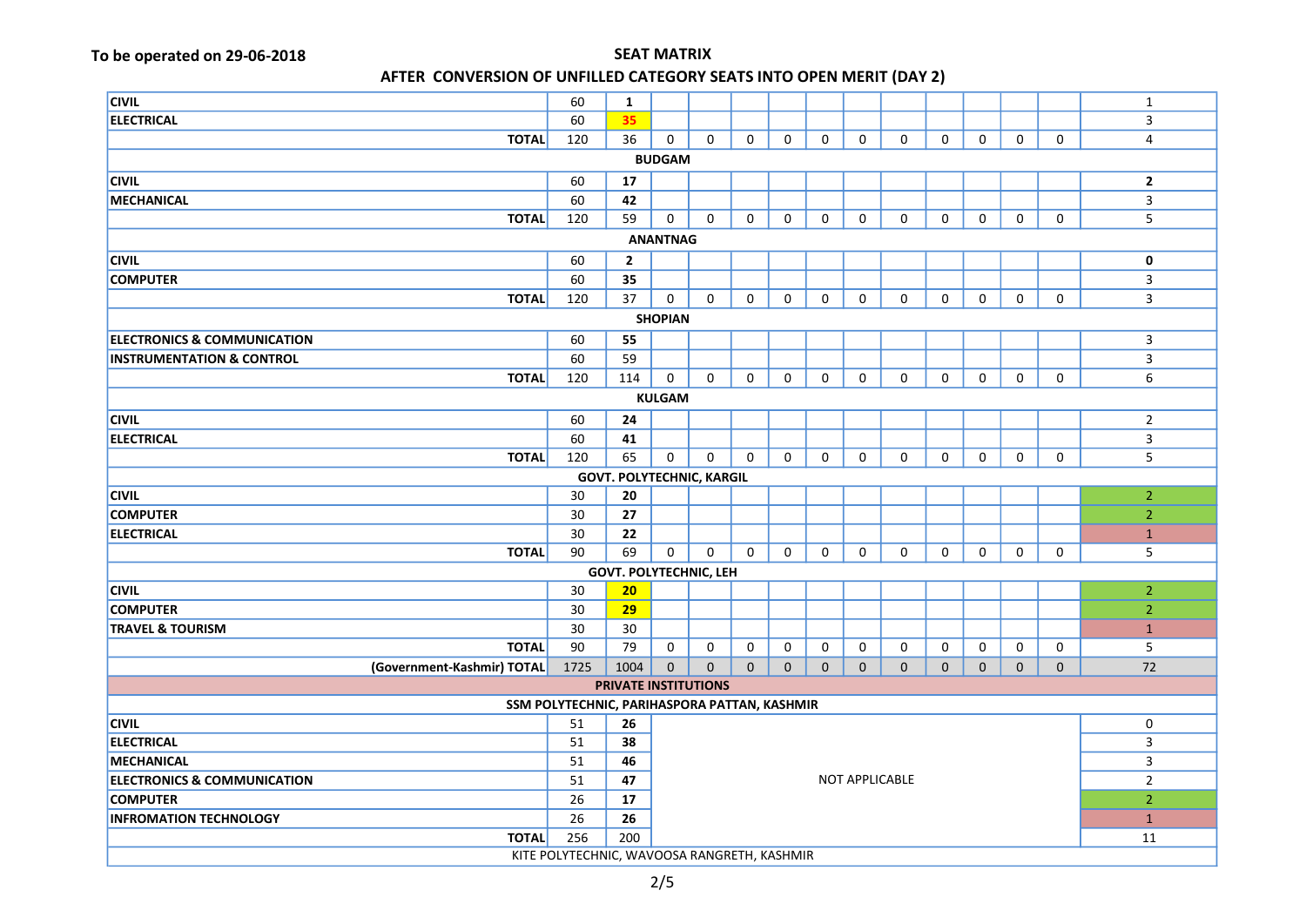| <b>CIVIL</b>                                 | 60   | $\mathbf{1}$                  |                               |             |              |              |              |                       |             |              |              |              |             | $\mathbf{1}$   |
|----------------------------------------------|------|-------------------------------|-------------------------------|-------------|--------------|--------------|--------------|-----------------------|-------------|--------------|--------------|--------------|-------------|----------------|
| <b>ELECTRICAL</b>                            | 60   | 35                            |                               |             |              |              |              |                       |             |              |              |              |             | $\overline{3}$ |
| <b>TOTAL</b>                                 | 120  | 36                            | 0                             | 0           | $\Omega$     | 0            | $\mathbf 0$  | $\mathbf 0$           | 0           | 0            | $\mathbf 0$  | 0            | 0           | 4              |
|                                              |      |                               | <b>BUDGAM</b>                 |             |              |              |              |                       |             |              |              |              |             |                |
| <b>CIVIL</b>                                 | 60   | 17                            |                               |             |              |              |              |                       |             |              |              |              |             | $\mathbf{2}$   |
| MECHANICAL                                   | 60   | 42                            |                               |             |              |              |              |                       |             |              |              |              |             | 3              |
| <b>TOTAL</b>                                 | 120  | 59                            | 0                             | $\Omega$    | 0            | 0            | $\mathsf{O}$ | 0                     | 0           | $\mathsf{O}$ | 0            | 0            | 0           | 5              |
|                                              |      |                               | <b>ANANTNAG</b>               |             |              |              |              |                       |             |              |              |              |             |                |
| <b>CIVIL</b>                                 | 60   | $\overline{2}$                |                               |             |              |              |              |                       |             |              |              |              |             | 0              |
| <b>COMPUTER</b>                              | 60   | 35                            |                               |             |              |              |              |                       |             |              |              |              |             | 3              |
| <b>TOTAL</b>                                 | 120  | 37                            | 0                             | $\mathbf 0$ | 0            | $\mathsf{O}$ | 0            | $\mathbf 0$           | 0           | 0            | $\mathbf 0$  | 0            | 0           | 3              |
|                                              |      |                               | <b>SHOPIAN</b>                |             |              |              |              |                       |             |              |              |              |             |                |
| <b>ELECTRONICS &amp; COMMUNICATION</b>       | 60   | 55                            |                               |             |              |              |              |                       |             |              |              |              |             | $\mathbf{3}$   |
| <b>INSTRUMENTATION &amp; CONTROL</b>         | 60   | 59                            |                               |             |              |              |              |                       |             |              |              |              |             | 3              |
| <b>TOTAL</b>                                 | 120  | 114                           | 0                             | $\mathbf 0$ | $\mathbf 0$  | $\mathbf 0$  | $\mathbf 0$  | $\mathbf 0$           | 0           | $\mathbf 0$  | $\mathbf 0$  | 0            | 0           | 6              |
| <b>KULGAM</b>                                |      |                               |                               |             |              |              |              |                       |             |              |              |              |             |                |
| <b>CIVIL</b>                                 | 60   | 24                            |                               |             |              |              |              |                       |             |              |              |              |             | $\overline{2}$ |
| <b>ELECTRICAL</b>                            | 60   | 41                            |                               |             |              |              |              |                       |             |              |              |              |             | 3              |
| <b>TOTAL</b>                                 | 120  | 65                            | 0                             | $\mathbf 0$ | $\Omega$     | 0            | $\mathbf 0$  | $\mathbf 0$           | 0           | $\mathbf 0$  | $\mathbf 0$  | $\mathbf 0$  | 0           | 5              |
| <b>GOVT. POLYTECHNIC, KARGIL</b>             |      |                               |                               |             |              |              |              |                       |             |              |              |              |             |                |
| <b>CIVIL</b>                                 | 30   | 20                            |                               |             |              |              |              |                       |             |              |              |              |             | $\overline{2}$ |
| <b>COMPUTER</b>                              | 30   | 27                            |                               |             |              |              |              |                       |             |              |              |              |             | $\overline{2}$ |
| <b>ELECTRICAL</b>                            | 30   | 22                            |                               |             |              |              |              |                       |             |              |              |              |             | $\mathbf{1}$   |
| <b>TOTAL</b>                                 | 90   | 69                            | 0                             | $\mathbf 0$ | $\mathbf 0$  | 0            | $\mathbf 0$  | $\mathbf 0$           | 0           | 0            | $\mathbf 0$  | 0            | 0           | 5              |
|                                              |      | <b>GOVT. POLYTECHNIC, LEH</b> |                               |             |              |              |              |                       |             |              |              |              |             |                |
| <b>CIVIL</b>                                 | 30   | 20                            |                               |             |              |              |              |                       |             |              |              |              |             | $\overline{2}$ |
| <b>COMPUTER</b>                              | 30   | 29                            |                               |             |              |              |              |                       |             |              |              |              |             | $\overline{2}$ |
| <b>TRAVEL &amp; TOURISM</b>                  | 30   | 30                            |                               |             |              |              |              |                       |             |              |              |              |             | $\mathbf{1}$   |
| <b>TOTAL</b>                                 | 90   | 79                            | 0                             | 0           | $\Omega$     | 0            | 0            | 0                     | 0           | 0            | 0            | 0            | 0           | 5              |
| (Government-Kashmir) TOTAL                   | 1725 | 1004                          | $\mathbf{0}$                  | $\mathbf 0$ | $\mathbf{0}$ | $\mathbf{0}$ | $\mathbf{0}$ | $\mathbf{0}$          | $\mathbf 0$ | $\mathbf 0$  | $\mathbf{0}$ | $\mathbf{0}$ | $\mathbf 0$ | 72             |
| PRIVATE INSTITUTIONS                         |      |                               |                               |             |              |              |              |                       |             |              |              |              |             |                |
| SSM POLYTECHNIC, PARIHASPORA PATTAN, KASHMIR |      |                               |                               |             |              |              |              |                       |             |              |              |              |             |                |
| <b>CIVIL</b><br>51<br>26<br>0                |      |                               |                               |             |              |              |              |                       |             |              |              |              |             |                |
| <b>ELECTRICAL</b>                            | 51   |                               | $\overline{\mathbf{3}}$<br>38 |             |              |              |              |                       |             |              |              |              |             |                |
| MECHANICAL                                   | 51   |                               | $\overline{3}$<br>46          |             |              |              |              |                       |             |              |              |              |             |                |
| <b>ELECTRONICS &amp; COMMUNICATION</b>       | 51   | 47                            |                               |             |              |              |              | <b>NOT APPLICABLE</b> |             |              |              |              |             | $\overline{2}$ |
| <b>COMPUTER</b>                              | 26   | 17                            |                               |             |              |              |              |                       |             |              |              |              |             | $\overline{2}$ |
| <b>INFROMATION TECHNOLOGY</b>                | 26   | 26                            |                               |             |              |              |              |                       |             |              |              |              |             | $\mathbf{1}$   |
| <b>TOTAL</b>                                 | 256  | 200                           |                               |             |              |              |              |                       |             |              |              |              |             | 11             |
| KITE POLYTECHNIC, WAVOOSA RANGRETH, KASHMIR  |      |                               |                               |             |              |              |              |                       |             |              |              |              |             |                |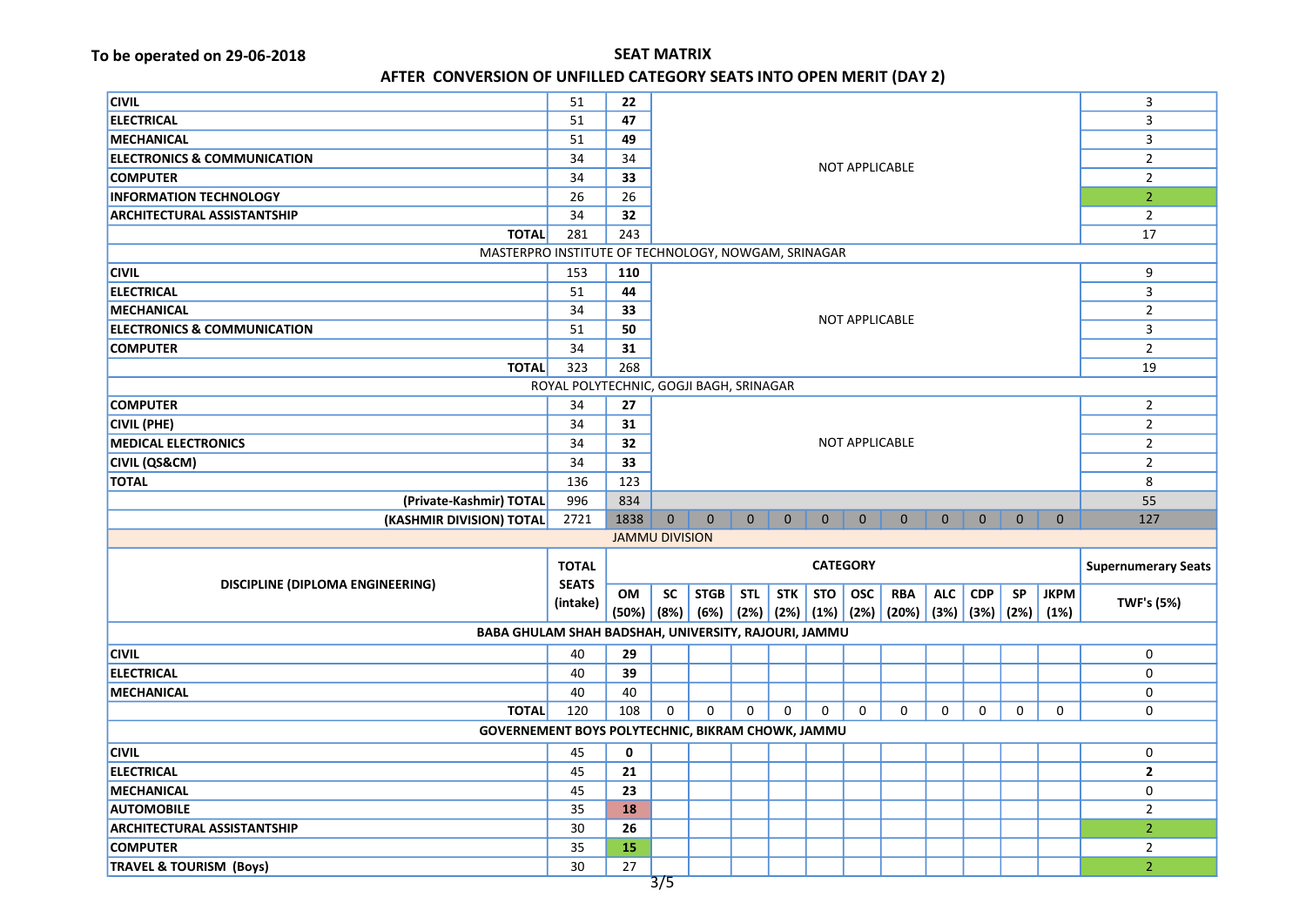| <b>CIVIL</b>                                         | 51                                      | 22                    |                                   |              |                |              |              |                         |                                                                                          |                |                | 3            |                            |                   |  |  |
|------------------------------------------------------|-----------------------------------------|-----------------------|-----------------------------------|--------------|----------------|--------------|--------------|-------------------------|------------------------------------------------------------------------------------------|----------------|----------------|--------------|----------------------------|-------------------|--|--|
| <b>ELECTRICAL</b>                                    | 51                                      | 47                    | 49<br>34<br><b>NOT APPLICABLE</b> |              |                |              |              |                         |                                                                                          |                | 3              |              |                            |                   |  |  |
| <b>MECHANICAL</b>                                    | 51                                      |                       |                                   |              |                |              |              |                         |                                                                                          |                | $\overline{3}$ |              |                            |                   |  |  |
| <b>ELECTRONICS &amp; COMMUNICATION</b>               | 34                                      |                       |                                   |              |                |              |              |                         |                                                                                          |                | $\overline{2}$ |              |                            |                   |  |  |
| <b>COMPUTER</b>                                      | 34                                      | 33                    |                                   |              |                |              |              |                         |                                                                                          | $\overline{2}$ |                |              |                            |                   |  |  |
| <b>INFORMATION TECHNOLOGY</b>                        | 26                                      | 26                    |                                   |              |                |              |              |                         |                                                                                          | $\overline{2}$ |                |              |                            |                   |  |  |
| <b>ARCHITECTURAL ASSISTANTSHIP</b>                   | 34                                      | 32                    |                                   |              |                |              |              |                         |                                                                                          |                |                |              |                            | $\overline{2}$    |  |  |
| <b>TOTAL</b>                                         | 281                                     | 243                   |                                   |              |                |              |              |                         |                                                                                          |                |                |              |                            | 17                |  |  |
| MASTERPRO INSTITUTE OF TECHNOLOGY, NOWGAM, SRINAGAR  |                                         |                       |                                   |              |                |              |              |                         |                                                                                          |                |                |              |                            |                   |  |  |
| <b>CIVIL</b>                                         | 153                                     | 110                   |                                   |              |                |              |              |                         |                                                                                          |                |                |              |                            | 9                 |  |  |
| <b>ELECTRICAL</b>                                    | 51                                      | 44                    |                                   |              |                |              |              | $\overline{\mathbf{3}}$ |                                                                                          |                |                |              |                            |                   |  |  |
| <b>MECHANICAL</b>                                    | 34                                      | 33                    |                                   |              | $\overline{2}$ |              |              |                         |                                                                                          |                |                |              |                            |                   |  |  |
| <b>ELECTRONICS &amp; COMMUNICATION</b>               | 51                                      | 50                    |                                   |              | 3              |              |              |                         |                                                                                          |                |                |              |                            |                   |  |  |
| <b>COMPUTER</b>                                      | 34                                      | 31                    |                                   |              |                |              |              |                         |                                                                                          |                |                |              | $\overline{2}$             |                   |  |  |
| <b>TOTAL</b>                                         | 323                                     | 268                   |                                   |              |                |              |              |                         |                                                                                          |                |                |              |                            | 19                |  |  |
|                                                      | ROYAL POLYTECHNIC, GOGJI BAGH, SRINAGAR |                       |                                   |              |                |              |              |                         |                                                                                          |                |                |              |                            |                   |  |  |
| <b>COMPUTER</b>                                      | 34                                      | 27                    |                                   |              |                |              |              |                         |                                                                                          |                |                |              |                            | $\overline{2}$    |  |  |
| <b>CIVIL (PHE)</b>                                   | 34                                      | 31                    |                                   |              |                |              |              |                         |                                                                                          | $\overline{2}$ |                |              |                            |                   |  |  |
| <b>MEDICAL ELECTRONICS</b>                           | 34                                      | 32                    |                                   |              | $\overline{2}$ |              |              |                         |                                                                                          |                |                |              |                            |                   |  |  |
| <b>CIVIL (QS&amp;CM)</b>                             | 34                                      | 33                    |                                   |              |                |              |              |                         | $\overline{2}$                                                                           |                |                |              |                            |                   |  |  |
| <b>TOTAL</b>                                         | 136                                     | 123                   |                                   |              |                |              |              |                         |                                                                                          |                | 8              |              |                            |                   |  |  |
| (Private-Kashmir) TOTAL                              | 996                                     | 834                   |                                   |              |                |              |              |                         |                                                                                          |                |                |              |                            | 55                |  |  |
| (KASHMIR DIVISION) TOTAL                             | 2721                                    | 1838                  | $\mathbf{0}$                      | $\mathbf{0}$ | $\mathbf{0}$   | $\mathbf{0}$ | $\mathbf{0}$ | $\mathbf{0}$            | $\mathbf{0}$                                                                             | $\mathbf{0}$   | $\mathbf{0}$   | $\mathbf{0}$ | $\mathbf{0}$               | 127               |  |  |
|                                                      |                                         | <b>JAMMU DIVISION</b> |                                   |              |                |              |              |                         |                                                                                          |                |                |              |                            |                   |  |  |
|                                                      | <b>TOTAL</b>                            |                       | <b>CATEGORY</b>                   |              |                |              |              |                         |                                                                                          |                |                |              | <b>Supernumerary Seats</b> |                   |  |  |
| <b>DISCIPLINE (DIPLOMA ENGINEERING)</b>              | <b>SEATS</b>                            |                       |                                   |              |                |              |              |                         |                                                                                          |                |                |              |                            |                   |  |  |
|                                                      | (intake)                                | OM                    | <b>SC</b>                         | STGB         | <b>STL</b>     | STK          | STO          | <b>OSC</b>              | <b>RBA</b>                                                                               | ALC            | <b>CDP</b>     | <b>SP</b>    | <b>JKPM</b>                | <b>TWF's (5%)</b> |  |  |
|                                                      |                                         |                       |                                   |              |                |              |              |                         | $(50\%)$ $(8\%)$ $(6\%)$ $(2\%)$ $(2\%)$ $(1\%)$ $(2\%)$ $(2\%)$ $(3\%)$ $(3\%)$ $(2\%)$ |                |                |              | (1%)                       |                   |  |  |
| BABA GHULAM SHAH BADSHAH, UNIVERSITY, RAJOURI, JAMMU |                                         |                       |                                   |              |                |              |              |                         |                                                                                          |                |                |              |                            |                   |  |  |
| <b>CIVIL</b>                                         | 40                                      | 29                    |                                   |              |                |              |              |                         |                                                                                          |                |                |              |                            | 0                 |  |  |
| <b>ELECTRICAL</b>                                    | 40                                      | 39                    |                                   |              |                |              |              |                         |                                                                                          |                |                |              |                            | 0                 |  |  |
| <b>MECHANICAL</b>                                    | 40                                      | 40                    |                                   |              |                |              |              |                         |                                                                                          |                |                |              |                            | 0                 |  |  |
| <b>TOTAL</b>                                         | 120                                     | 108                   | 0                                 | $\mathbf 0$  | $\Omega$       | $\Omega$     | $\Omega$     | $\mathbf 0$             | 0                                                                                        | 0              | 0              | 0            | 0                          | 0                 |  |  |
| GOVERNEMENT BOYS POLYTECHNIC, BIKRAM CHOWK, JAMMU    |                                         |                       |                                   |              |                |              |              |                         |                                                                                          |                |                |              |                            |                   |  |  |
| <b>CIVIL</b>                                         | 45                                      | 0                     |                                   |              |                |              |              |                         |                                                                                          |                |                |              |                            | $\mathbf 0$       |  |  |
| <b>ELECTRICAL</b>                                    | 45                                      | 21                    |                                   |              |                |              |              |                         |                                                                                          |                |                |              |                            | $\overline{2}$    |  |  |
| <b>MECHANICAL</b>                                    | 45                                      | 23                    |                                   |              |                |              |              |                         |                                                                                          |                |                |              |                            | $\mathbf 0$       |  |  |
| <b>AUTOMOBILE</b>                                    | 35                                      | 18                    |                                   |              |                |              |              |                         |                                                                                          |                |                |              |                            | $\overline{2}$    |  |  |
| <b>ARCHITECTURAL ASSISTANTSHIP</b>                   | 30                                      | 26                    |                                   |              |                |              |              |                         |                                                                                          |                |                |              |                            | $\overline{2}$    |  |  |
| <b>COMPUTER</b>                                      | 35                                      | 15                    |                                   |              |                |              |              |                         |                                                                                          |                |                |              |                            | $\overline{2}$    |  |  |
|                                                      |                                         |                       |                                   |              |                |              |              |                         |                                                                                          |                |                |              |                            |                   |  |  |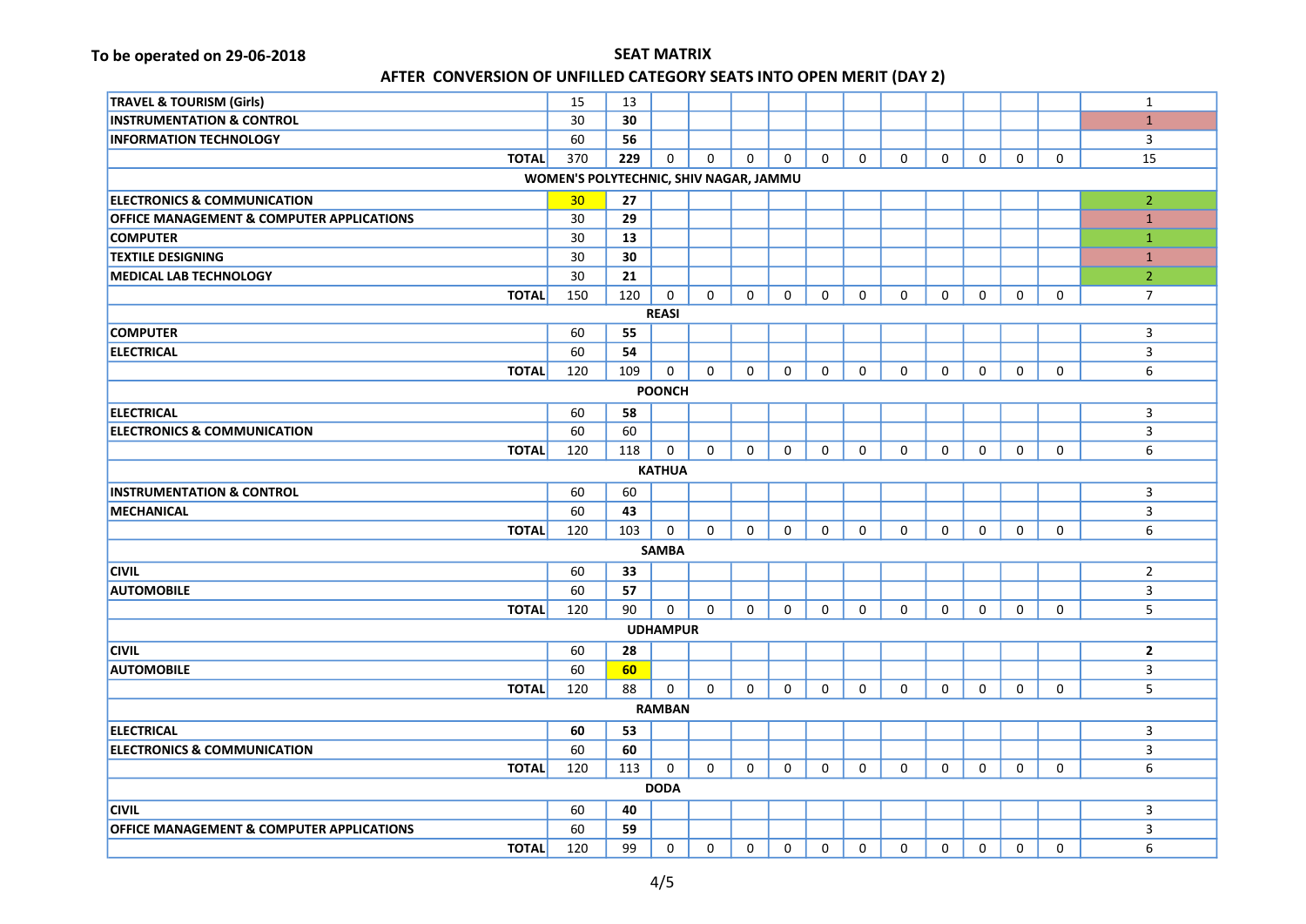| <b>TRAVEL &amp; TOURISM (Girls)</b>                  | 15                                     | 13  |                 |             |              |              |             |             |             |              |              |             |          | $\mathbf{1}$   |
|------------------------------------------------------|----------------------------------------|-----|-----------------|-------------|--------------|--------------|-------------|-------------|-------------|--------------|--------------|-------------|----------|----------------|
| <b>INSTRUMENTATION &amp; CONTROL</b>                 | 30                                     | 30  |                 |             |              |              |             |             |             |              |              |             |          | $\mathbf{1}$   |
| <b>INFORMATION TECHNOLOGY</b>                        | 60                                     | 56  |                 |             |              |              |             |             |             |              |              |             |          | 3              |
| <b>TOTAL</b>                                         | 370                                    | 229 | $\mathbf 0$     | 0           | 0            | $\mathbf{0}$ | $\mathbf 0$ | $\mathbf 0$ | $\mathbf 0$ | $\mathbf 0$  | $\mathbf 0$  | $\mathbf 0$ | 0        | 15             |
|                                                      | WOMEN'S POLYTECHNIC, SHIV NAGAR, JAMMU |     |                 |             |              |              |             |             |             |              |              |             |          |                |
| <b>ELECTRONICS &amp; COMMUNICATION</b>               | 30 <sub>o</sub>                        | 27  |                 |             |              |              |             |             |             |              |              |             |          | $\overline{2}$ |
| <b>OFFICE MANAGEMENT &amp; COMPUTER APPLICATIONS</b> | 30                                     | 29  |                 |             |              |              |             |             |             |              |              |             |          | $\mathbf{1}$   |
| <b>COMPUTER</b>                                      | 30                                     | 13  |                 |             |              |              |             |             |             |              |              |             |          | $\mathbf{1}$   |
| <b>TEXTILE DESIGNING</b>                             | 30                                     | 30  |                 |             |              |              |             |             |             |              |              |             |          | $\mathbf{1}$   |
| <b>MEDICAL LAB TECHNOLOGY</b>                        | 30                                     | 21  |                 |             |              |              |             |             |             |              |              |             |          | $\overline{2}$ |
| <b>TOTAL</b>                                         | 150                                    | 120 | 0               | 0           | $\Omega$     | $\mathbf 0$  | 0           | 0           | $\mathbf 0$ | $\mathbf 0$  | $\mathbf 0$  | $\mathbf 0$ | 0        | $\overline{7}$ |
|                                                      |                                        |     | <b>REASI</b>    |             |              |              |             |             |             |              |              |             |          |                |
| <b>COMPUTER</b>                                      | 60                                     | 55  |                 |             |              |              |             |             |             |              |              |             |          | 3              |
| <b>ELECTRICAL</b>                                    | 60                                     | 54  |                 |             |              |              |             |             |             |              |              |             |          | 3              |
| <b>TOTAL</b>                                         | 120                                    | 109 | 0               | $\mathbf 0$ | $\mathbf 0$  | 0            | 0           | 0           | $\mathbf 0$ | $\mathbf 0$  | $\mathbf 0$  | $\mathbf 0$ | 0        | 6              |
|                                                      |                                        |     | <b>POONCH</b>   |             |              |              |             |             |             |              |              |             |          |                |
| <b>ELECTRICAL</b>                                    | 60                                     | 58  |                 |             |              |              |             |             |             |              |              |             |          | 3              |
| <b>ELECTRONICS &amp; COMMUNICATION</b>               | 60                                     | 60  |                 |             |              |              |             |             |             |              |              |             |          | 3              |
| <b>TOTAL</b>                                         | 120                                    | 118 | 0               | $\mathbf 0$ | $\mathbf 0$  | $\mathbf 0$  | $\mathbf 0$ | $\mathbf 0$ | $\mathbf 0$ | $\mathbf 0$  | $\mathbf 0$  | $\mathbf 0$ | 0        | 6              |
|                                                      |                                        |     | <b>KATHUA</b>   |             |              |              |             |             |             |              |              |             |          |                |
| <b>INSTRUMENTATION &amp; CONTROL</b>                 | 60                                     | 60  |                 |             |              |              |             |             |             |              |              |             |          | $\overline{3}$ |
| <b>MECHANICAL</b>                                    | 60                                     | 43  |                 |             |              |              |             |             |             |              |              |             |          | 3              |
| <b>TOTAL</b>                                         | 120                                    | 103 | 0               | 0           | $\Omega$     | $\mathbf{0}$ | $\Omega$    | $\Omega$    | $\Omega$    | $\mathbf{0}$ | $\Omega$     | $\Omega$    | $\Omega$ | 6              |
|                                                      |                                        |     | <b>SAMBA</b>    |             |              |              |             |             |             |              |              |             |          |                |
| <b>CIVIL</b>                                         | 60                                     | 33  |                 |             |              |              |             |             |             |              |              |             |          | $\overline{2}$ |
| <b>AUTOMOBILE</b>                                    | 60                                     | 57  |                 |             |              |              |             |             |             |              |              |             |          | 3              |
| <b>TOTAL</b>                                         | 120                                    | 90  | $\mathbf 0$     | 0           | $\Omega$     | $\mathbf{0}$ | $\Omega$    | $\Omega$    | 0           | $\mathbf{0}$ | $\Omega$     | $\Omega$    | 0        | 5              |
|                                                      |                                        |     | <b>UDHAMPUR</b> |             |              |              |             |             |             |              |              |             |          |                |
| <b>CIVIL</b>                                         | 60                                     | 28  |                 |             |              |              |             |             |             |              |              |             |          | $\overline{2}$ |
| <b>AUTOMOBILE</b>                                    | 60                                     | 60  |                 |             |              |              |             |             |             |              |              |             |          | 3              |
| <b>TOTAL</b>                                         | 120                                    | 88  | $\mathbf 0$     | 0           | $\mathbf{0}$ | 0            | 0           | 0           | 0           | $\mathbf 0$  | $\mathbf{0}$ | 0           | 0        | 5              |
|                                                      |                                        |     | <b>RAMBAN</b>   |             |              |              |             |             |             |              |              |             |          |                |
| <b>ELECTRICAL</b>                                    | 60                                     | 53  |                 |             |              |              |             |             |             |              |              |             |          | 3              |
| <b>ELECTRONICS &amp; COMMUNICATION</b>               | 60                                     | 60  |                 |             |              |              |             |             |             |              |              |             |          | 3              |
| <b>TOTAL</b>                                         | 120                                    | 113 | 0               | 0           | $\mathbf 0$  | 0            | 0           | 0           | 0           | 0            | $\mathbf 0$  | 0           | 0        | 6              |
|                                                      |                                        |     | <b>DODA</b>     |             |              |              |             |             |             |              |              |             |          |                |
| <b>CIVIL</b>                                         | 60                                     | 40  |                 |             |              |              |             |             |             |              |              |             |          | 3              |
| <b>OFFICE MANAGEMENT &amp; COMPUTER APPLICATIONS</b> | 60                                     | 59  |                 |             |              |              |             |             |             |              |              |             |          | 3              |
| <b>TOTAL</b>                                         | 120                                    | 99  | $\mathbf 0$     | $\mathbf 0$ | $\mathbf 0$  | $\mathbf 0$  | $\mathbf 0$ | $\mathbf 0$ | $\mathbf 0$ | $\mathbf 0$  | $\mathbf 0$  | $\mathbf 0$ | 0        | 6              |